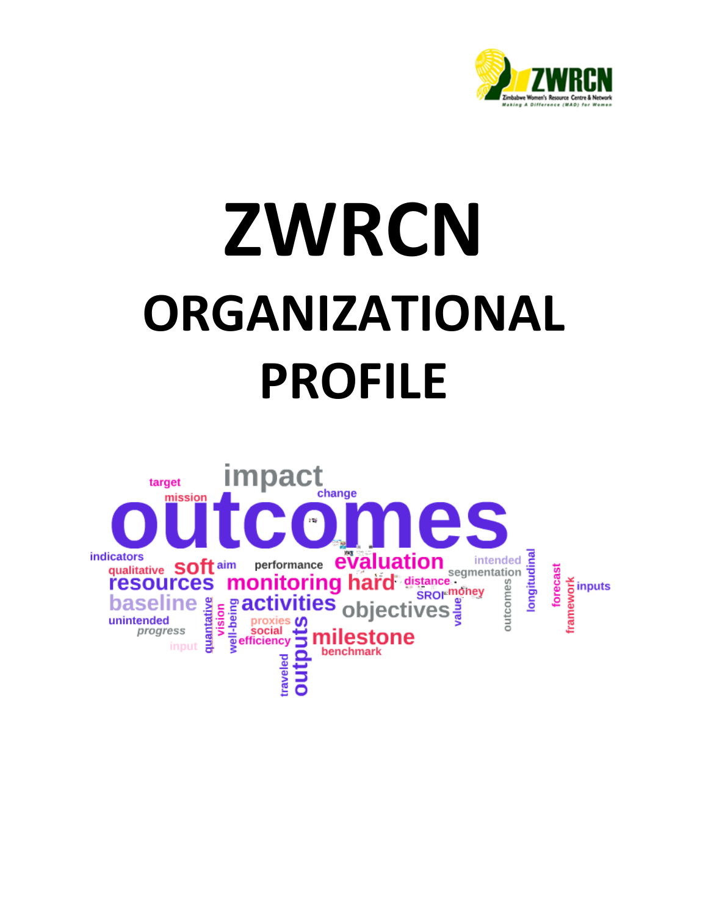

# **ZWRCN ORGANIZATIONAL PROFILE**

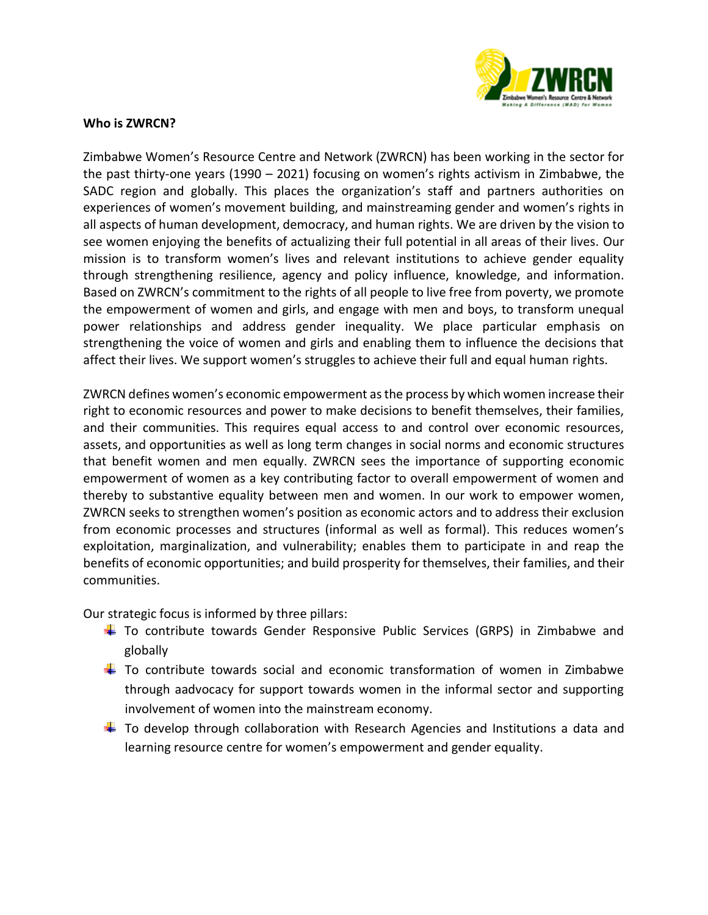

#### **Who is ZWRCN?**

Zimbabwe Women's Resource Centre and Network (ZWRCN) has been working in the sector for the past thirty-one years (1990 – 2021) focusing on women's rights activism in Zimbabwe, the SADC region and globally. This places the organization's staff and partners authorities on experiences of women's movement building, and mainstreaming gender and women's rights in all aspects of human development, democracy, and human rights. We are driven by the vision to see women enjoying the benefits of actualizing their full potential in all areas of their lives. Our mission is to transform women's lives and relevant institutions to achieve gender equality through strengthening resilience, agency and policy influence, knowledge, and information. Based on ZWRCN's commitment to the rights of all people to live free from poverty, we promote the empowerment of women and girls, and engage with men and boys, to transform unequal power relationships and address gender inequality. We place particular emphasis on strengthening the voice of women and girls and enabling them to influence the decisions that affect their lives. We support women's struggles to achieve their full and equal human rights.

ZWRCN defines women's economic empowerment as the process by which women increase their right to economic resources and power to make decisions to benefit themselves, their families, and their communities. This requires equal access to and control over economic resources, assets, and opportunities as well as long term changes in social norms and economic structures that benefit women and men equally. ZWRCN sees the importance of supporting economic empowerment of women as a key contributing factor to overall empowerment of women and thereby to substantive equality between men and women. In our work to empower women, ZWRCN seeks to strengthen women's position as economic actors and to address their exclusion from economic processes and structures (informal as well as formal). This reduces women's exploitation, marginalization, and vulnerability; enables them to participate in and reap the benefits of economic opportunities; and build prosperity for themselves, their families, and their communities.

Our strategic focus is informed by three pillars:

- To contribute towards Gender Responsive Public Services (GRPS) in Zimbabwe and globally
- $\ddot{\phantom{1}}$  To contribute towards social and economic transformation of women in Zimbabwe through aadvocacy for support towards women in the informal sector and supporting involvement of women into the mainstream economy.
- $\pm$  To develop through collaboration with Research Agencies and Institutions a data and learning resource centre for women's empowerment and gender equality.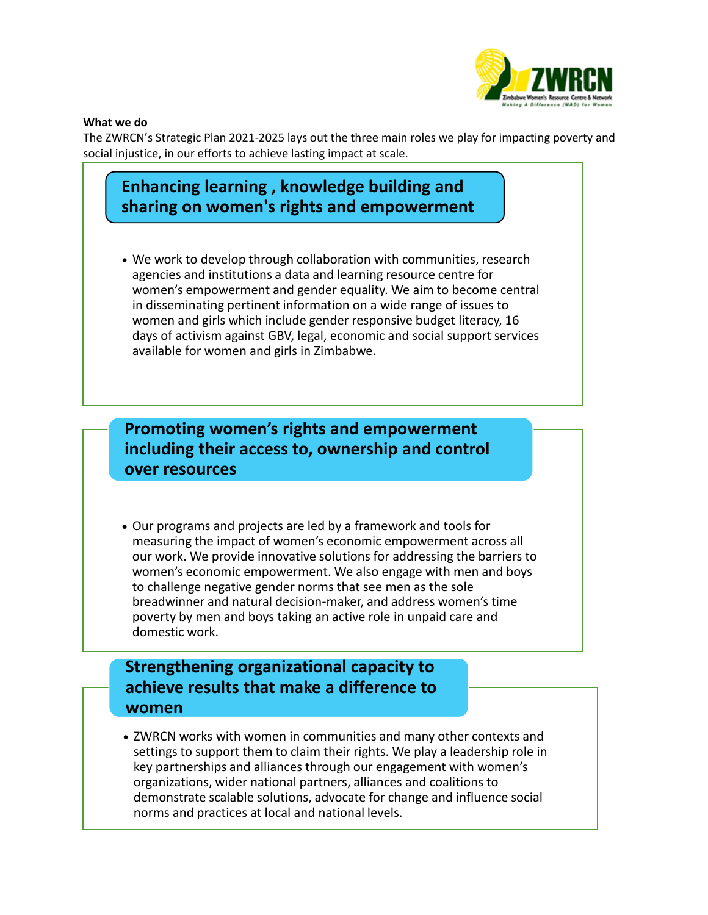

#### **What we do**

The ZWRCN's Strategic Plan 2021-2025 lays out the three main roles we play for impacting poverty and social injustice, in our efforts to achieve lasting impact at scale.

# **Enhancing learning , knowledge building and sharing on women's rights and empowerment**

• We work to develop through collaboration with communities, research agencies and institutions a data and learning resource centre for women's empowerment and gender equality. We aim to become central in disseminating pertinent information on a wide range of issues to women and girls which include gender responsive budget literacy, 16 days of activism against GBV, legal, economic and social support services available for women and girls in Zimbabwe.

**Promoting women's rights and empowerment including their access to, ownership and control over resources**

• Our programs and projects are led by a framework and tools for measuring the impact of women's economic empowerment across all our work. We provide innovative solutions for addressing the barriers to women's economic empowerment. We also engage with men and boys to challenge negative gender norms that see men as the sole breadwinner and natural decision-maker, and address women's time poverty by men and boys taking an active role in unpaid care and domestic work.

# **Strengthening organizational capacity to achieve results that make a difference to women**

• ZWRCN works with women in communities and many other contexts and settings to support them to claim their rights. We play a leadership role in key partnerships and alliances through our engagement with women's organizations, wider national partners, alliances and coalitions to demonstrate scalable solutions, advocate for change and influence social norms and practices at local and national levels.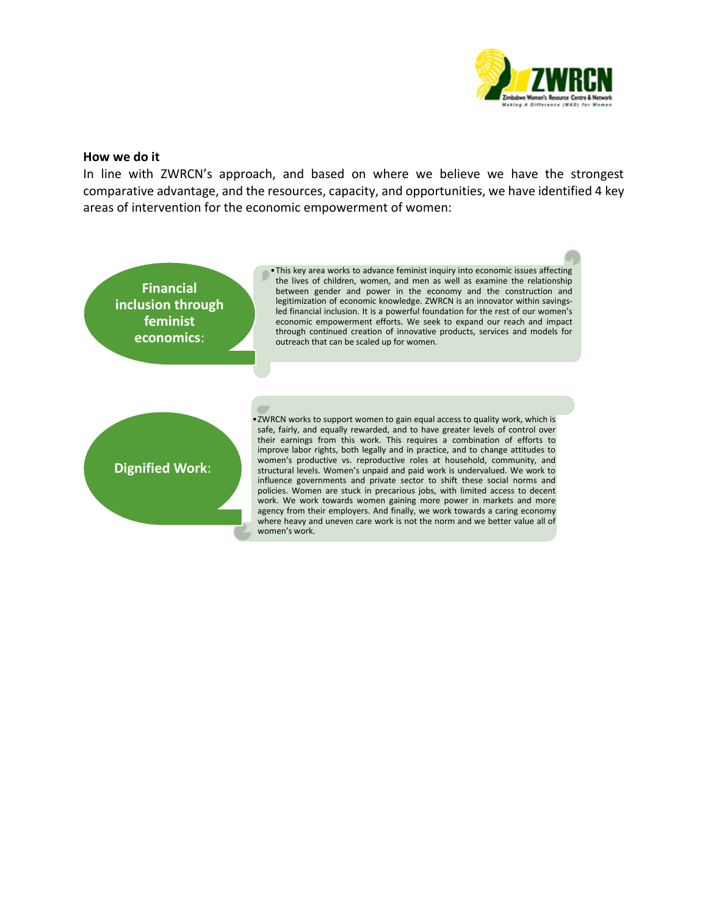

#### **How we do it**

In line with ZWRCN's approach, and based on where we believe we have the strongest comparative advantage, and the resources, capacity, and opportunities, we have identified 4 key areas of intervention for the economic empowerment of women:

•This key area works to advance feminist inquiry into economic issues affecting the lives of children, women, and men as well as examine the relationship between gender and power in the economy and the construction and legitimization of economic knowledge. ZWRCN is an innovator within savingsled financial inclusion. It is a powerful foundation for the rest of our women's economic empowerment efforts. We seek to expand our reach and impact through continued creation of innovative products, services and models for outreach that can be scaled up for women. **Financial inclusion through feminist economics**: •ZWRCN works to support women to gain equal access to quality work, which is safe, fairly, and equally rewarded, and to have greater levels of control over their earnings from this work. This requires a combination of efforts to improve labor rights, both legally and in practice, and to change attitudes to

**Dignified Work**:

women's productive vs. reproductive roles at household, community, and structural levels. Women's unpaid and paid work is undervalued. We work to influence governments and private sector to shift these social norms and policies. Women are stuck in precarious jobs, with limited access to decent work. We work towards women gaining more power in markets and more agency from their employers. And finally, we work towards a caring economy where heavy and uneven care work is not the norm and we better value all of women's work.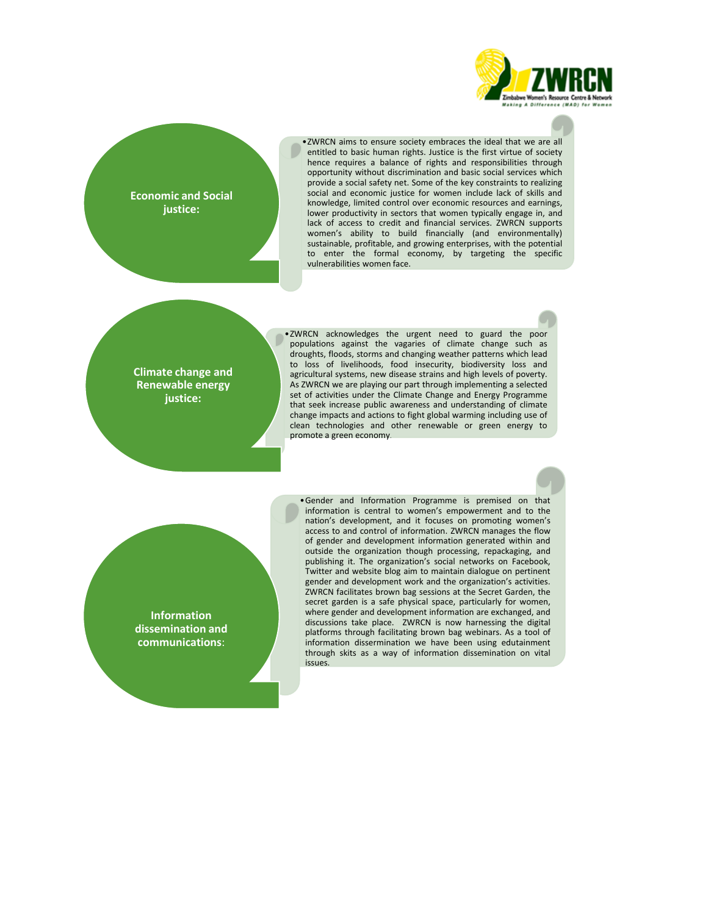

**Economic and Social justice:**

•ZWRCN aims to ensure society embraces the ideal that we are all entitled to basic human rights. Justice is the first virtue of society hence requires a balance of rights and responsibilities through opportunity without discrimination and basic social services which provide a social safety net. Some of the key constraints to realizing social and economic justice for women include lack of skills and knowledge, limited control over economic resources and earnings, lower productivity in sectors that women typically engage in, and lack of access to credit and financial services. ZWRCN supports women's ability to build financially (and environmentally) sustainable, profitable, and growing enterprises, with the potential to enter the formal economy, by targeting the specific vulnerabilities women face.

**Climate change and Renewable energy justice:**

•ZWRCN acknowledges the urgent need to guard the poor populations against the vagaries of climate change such as droughts, floods, storms and changing weather patterns which lead to loss of livelihoods, food insecurity, biodiversity loss and agricultural systems, new disease strains and high levels of poverty. As ZWRCN we are playing our part through implementing a selected set of activities under the Climate Change and Energy Programme that seek increase public awareness and understanding of climate change impacts and actions to fight global warming including use of clean technologies and other renewable or green energy to promote a green economy.

**Information dissemination and communications**:

•Gender and Information Programme is premised on that information is central to women's empowerment and to the nation's development, and it focuses on promoting women's access to and control of information. ZWRCN manages the flow of gender and development information generated within and outside the organization though processing, repackaging, and publishing it. The organization's social networks on Facebook, Twitter and website blog aim to maintain dialogue on pertinent gender and development work and the organization's activities. ZWRCN facilitates brown bag sessions at the Secret Garden, the secret garden is a safe physical space, particularly for women, where gender and development information are exchanged, and discussions take place. ZWRCN is now harnessing the digital platforms through facilitating brown bag webinars. As a tool of information dissermination we have been using edutainment through skits as a way of information dissemination on vital issues.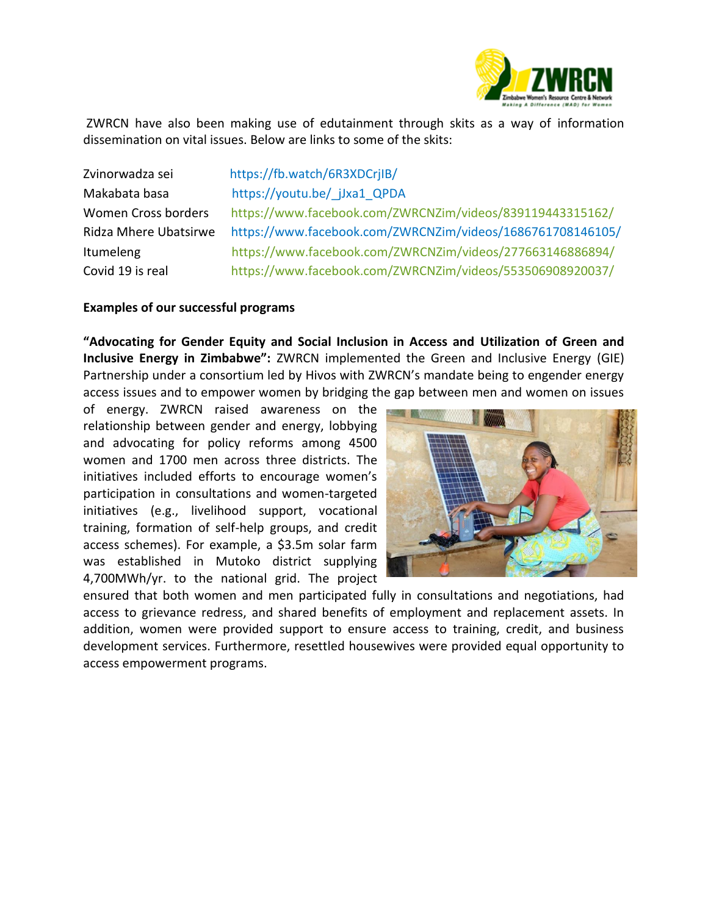

ZWRCN have also been making use of edutainment through skits as a way of information dissemination on vital issues. Below are links to some of the skits:

Zvinorwadza sei https://fb.watch/6R3XDCrjIB/ Makabata basa https://youtu.be/\_jJxa1\_QPDA Women Cross borders <https://www.facebook.com/ZWRCNZim/videos/839119443315162/> Ridza Mhere Ubatsirwe https://www.facebook.com/ZWRCNZim/videos/1686761708146105/ Itumeleng <https://www.facebook.com/ZWRCNZim/videos/277663146886894/> Covid 19 is real <https://www.facebook.com/ZWRCNZim/videos/553506908920037/>

#### **Examples of our successful programs**

**"Advocating for Gender Equity and Social Inclusion in Access and Utilization of Green and Inclusive Energy in Zimbabwe":** ZWRCN implemented the Green and Inclusive Energy (GIE) Partnership under a consortium led by Hivos with ZWRCN's mandate being to engender energy access issues and to empower women by bridging the gap between men and women on issues

of energy. ZWRCN raised awareness on the relationship between gender and energy, lobbying and advocating for policy reforms among 4500 women and 1700 men across three districts. The initiatives included efforts to encourage women's participation in consultations and women-targeted initiatives (e.g., livelihood support, vocational training, formation of self-help groups, and credit access schemes). For example, a \$3.5m solar farm was established in Mutoko district supplying 4,700MWh/yr. to the national grid. The project



ensured that both women and men participated fully in consultations and negotiations, had access to grievance redress, and shared benefits of employment and replacement assets. In addition, women were provided support to ensure access to training, credit, and business development services. Furthermore, resettled housewives were provided equal opportunity to access empowerment programs.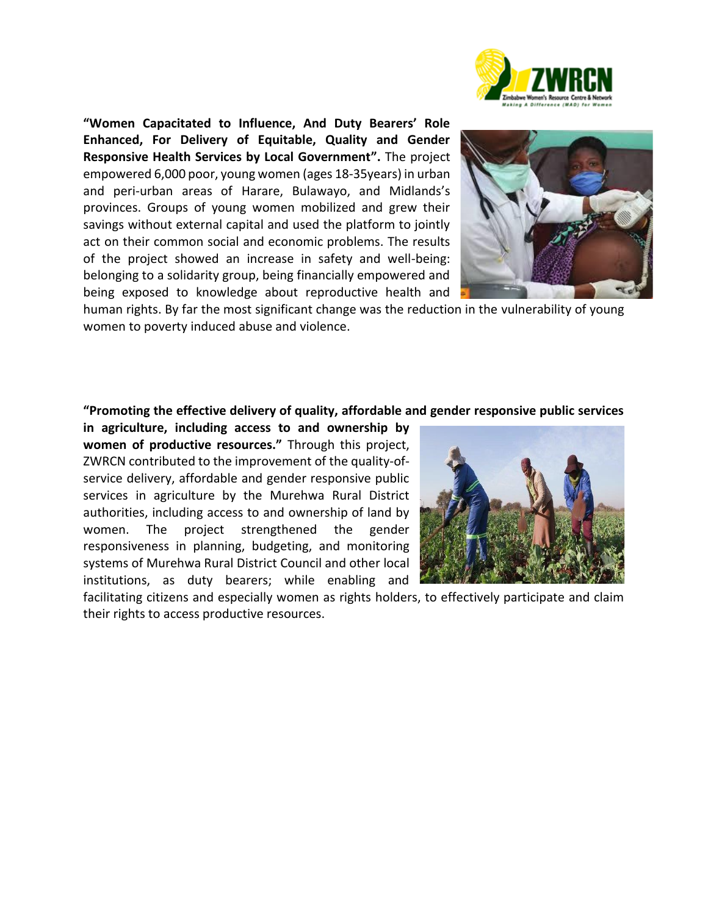

**"Women Capacitated to Influence, And Duty Bearers' Role Enhanced, For Delivery of Equitable, Quality and Gender Responsive Health Services by Local Government".** The project empowered 6,000 poor, young women (ages 18-35years) in urban and peri-urban areas of Harare, Bulawayo, and Midlands's provinces. Groups of young women mobilized and grew their savings without external capital and used the platform to jointly act on their common social and economic problems. The results of the project showed an increase in safety and well-being: belonging to a solidarity group, being financially empowered and being exposed to knowledge about reproductive health and



human rights. By far the most significant change was the reduction in the vulnerability of young women to poverty induced abuse and violence.

#### **"Promoting the effective delivery of quality, affordable and gender responsive public services**

**in agriculture, including access to and ownership by women of productive resources."** Through this project, ZWRCN contributed to the improvement of the quality-ofservice delivery, affordable and gender responsive public services in agriculture by the Murehwa Rural District authorities, including access to and ownership of land by women. The project strengthened the gender responsiveness in planning, budgeting, and monitoring systems of Murehwa Rural District Council and other local institutions, as duty bearers; while enabling and



facilitating citizens and especially women as rights holders, to effectively participate and claim their rights to access productive resources.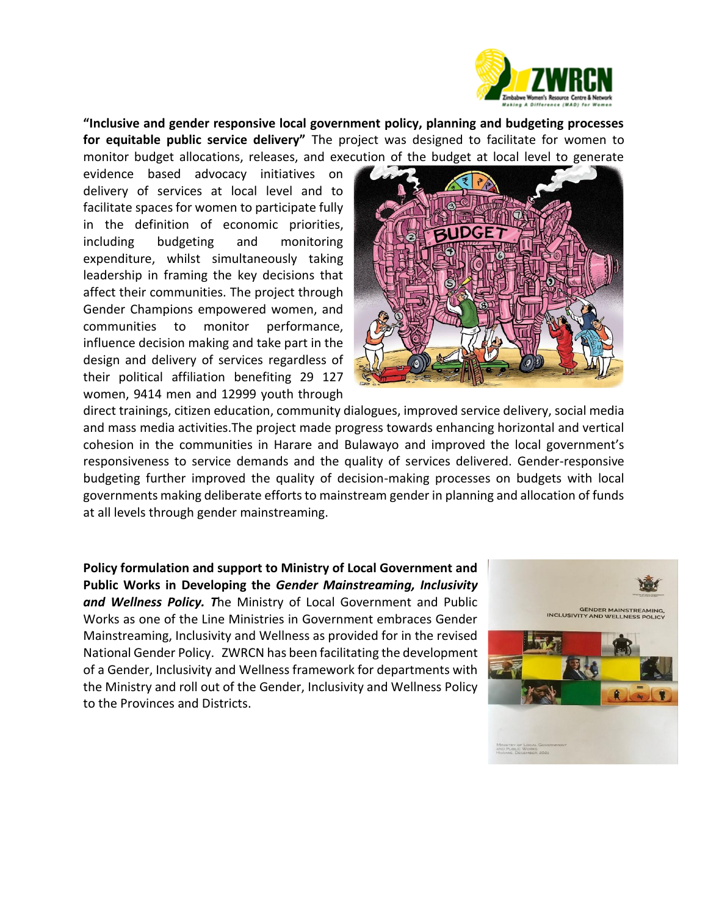

**"Inclusive and gender responsive local government policy, planning and budgeting processes for equitable public service delivery"** The project was designed to facilitate for women to monitor budget allocations, releases, and execution of the budget at local level to generate

evidence based advocacy initiatives on delivery of services at local level and to facilitate spaces for women to participate fully in the definition of economic priorities, including budgeting and monitoring expenditure, whilst simultaneously taking leadership in framing the key decisions that affect their communities. The project through Gender Champions empowered women, and communities to monitor performance, influence decision making and take part in the design and delivery of services regardless of their political affiliation benefiting 29 127 women, 9414 men and 12999 youth through



direct trainings, citizen education, community dialogues, improved service delivery, social media and mass media activities.The project made progress towards enhancing horizontal and vertical cohesion in the communities in Harare and Bulawayo and improved the local government's responsiveness to service demands and the quality of services delivered. Gender-responsive budgeting further improved the quality of decision-making processes on budgets with local governments making deliberate efforts to mainstream gender in planning and allocation of funds at all levels through gender mainstreaming.

**Policy formulation and support to Ministry of Local Government and Public Works in Developing the** *Gender Mainstreaming, Inclusivity and Wellness Policy. T*he Ministry of Local Government and Public Works as one of the Line Ministries in Government embraces Gender Mainstreaming, Inclusivity and Wellness as provided for in the revised National Gender Policy. ZWRCN has been facilitating the development of a Gender, Inclusivity and Wellness framework for departments with the Ministry and roll out of the Gender, Inclusivity and Wellness Policy to the Provinces and Districts.

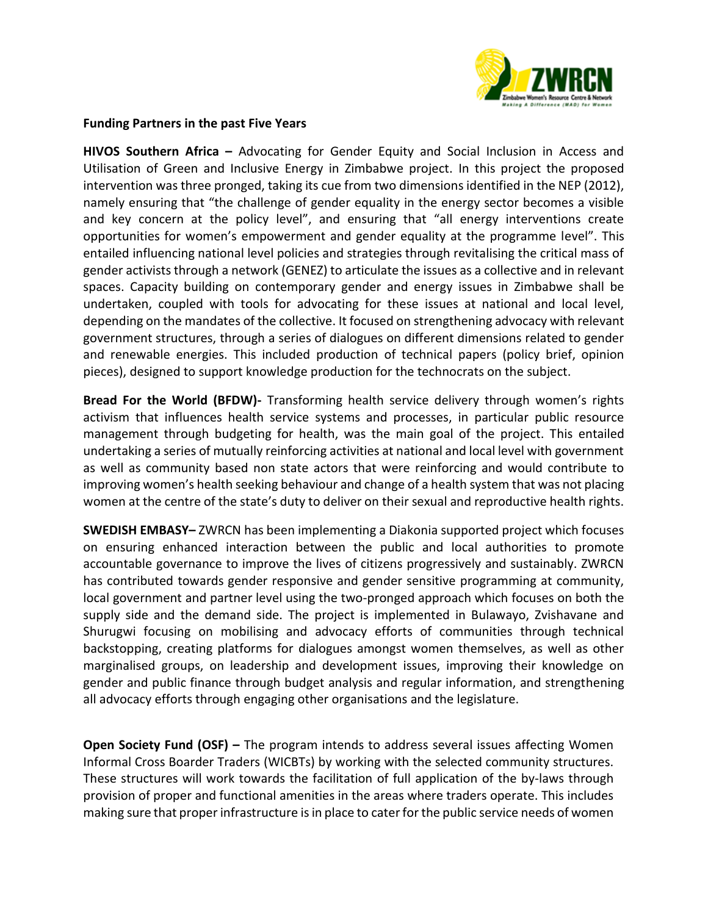

#### **Funding Partners in the past Five Years**

**HIVOS Southern Africa –** Advocating for Gender Equity and Social Inclusion in Access and Utilisation of Green and Inclusive Energy in Zimbabwe project. In this project the proposed intervention was three pronged, taking its cue from two dimensions identified in the NEP (2012), namely ensuring that "the challenge of gender equality in the energy sector becomes a visible and key concern at the policy level", and ensuring that "all energy interventions create opportunities for women's empowerment and gender equality at the programme level". This entailed influencing national level policies and strategies through revitalising the critical mass of gender activists through a network (GENEZ) to articulate the issues as a collective and in relevant spaces. Capacity building on contemporary gender and energy issues in Zimbabwe shall be undertaken, coupled with tools for advocating for these issues at national and local level, depending on the mandates of the collective. It focused on strengthening advocacy with relevant government structures, through a series of dialogues on different dimensions related to gender and renewable energies. This included production of technical papers (policy brief, opinion pieces), designed to support knowledge production for the technocrats on the subject.

**Bread For the World (BFDW)-** Transforming health service delivery through women's rights activism that influences health service systems and processes, in particular public resource management through budgeting for health, was the main goal of the project. This entailed undertaking a series of mutually reinforcing activities at national and local level with government as well as community based non state actors that were reinforcing and would contribute to improving women's health seeking behaviour and change of a health system that was not placing women at the centre of the state's duty to deliver on their sexual and reproductive health rights.

**SWEDISH EMBASY–** ZWRCN has been implementing a Diakonia supported project which focuses on ensuring enhanced interaction between the public and local authorities to promote accountable governance to improve the lives of citizens progressively and sustainably. ZWRCN has contributed towards gender responsive and gender sensitive programming at community, local government and partner level using the two-pronged approach which focuses on both the supply side and the demand side. The project is implemented in Bulawayo, Zvishavane and Shurugwi focusing on mobilising and advocacy efforts of communities through technical backstopping, creating platforms for dialogues amongst women themselves, as well as other marginalised groups, on leadership and development issues, improving their knowledge on gender and public finance through budget analysis and regular information, and strengthening all advocacy efforts through engaging other organisations and the legislature.

**Open Society Fund (OSF) –** The program intends to address several issues affecting Women Informal Cross Boarder Traders (WICBTs) by working with the selected community structures. These structures will work towards the facilitation of full application of the by-laws through provision of proper and functional amenities in the areas where traders operate. This includes making sure that proper infrastructure is in place to cater for the public service needs of women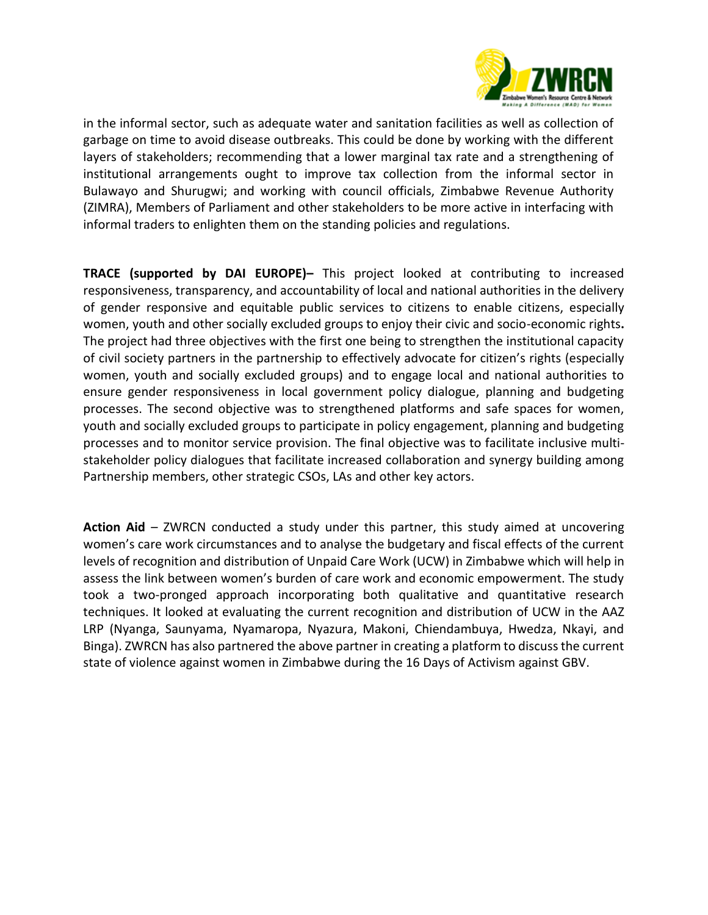

in the informal sector, such as adequate water and sanitation facilities as well as collection of garbage on time to avoid disease outbreaks. This could be done by working with the different layers of stakeholders; recommending that a lower marginal tax rate and a strengthening of institutional arrangements ought to improve tax collection from the informal sector in Bulawayo and Shurugwi; and working with council officials, Zimbabwe Revenue Authority (ZIMRA), Members of Parliament and other stakeholders to be more active in interfacing with informal traders to enlighten them on the standing policies and regulations.

**TRACE (supported by DAI EUROPE)–** This project looked at contributing to increased responsiveness, transparency, and accountability of local and national authorities in the delivery of gender responsive and equitable public services to citizens to enable citizens, especially women, youth and other socially excluded groups to enjoy their civic and socio-economic rights**.**  The project had three objectives with the first one being to strengthen the institutional capacity of civil society partners in the partnership to effectively advocate for citizen's rights (especially women, youth and socially excluded groups) and to engage local and national authorities to ensure gender responsiveness in local government policy dialogue, planning and budgeting processes. The second objective was to strengthened platforms and safe spaces for women, youth and socially excluded groups to participate in policy engagement, planning and budgeting processes and to monitor service provision. The final objective was to facilitate inclusive multistakeholder policy dialogues that facilitate increased collaboration and synergy building among Partnership members, other strategic CSOs, LAs and other key actors.

**Action Aid** – ZWRCN conducted a study under this partner, this study aimed at uncovering women's care work circumstances and to analyse the budgetary and fiscal effects of the current levels of recognition and distribution of Unpaid Care Work (UCW) in Zimbabwe which will help in assess the link between women's burden of care work and economic empowerment. The study took a two-pronged approach incorporating both qualitative and quantitative research techniques. It looked at evaluating the current recognition and distribution of UCW in the AAZ LRP (Nyanga, Saunyama, Nyamaropa, Nyazura, Makoni, Chiendambuya, Hwedza, Nkayi, and Binga). ZWRCN has also partnered the above partner in creating a platform to discuss the current state of violence against women in Zimbabwe during the 16 Days of Activism against GBV.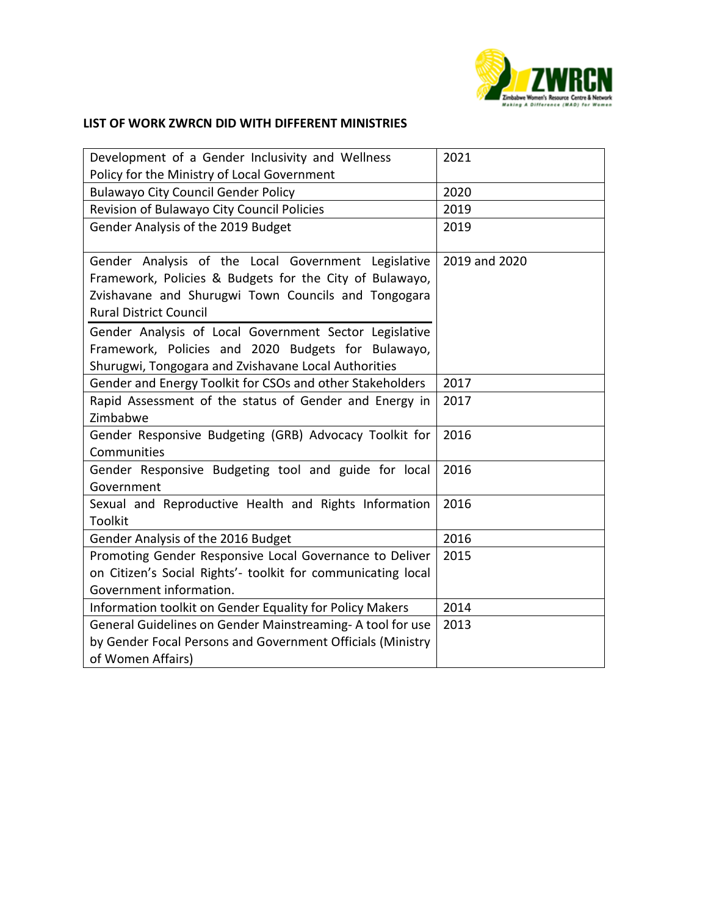

## **LIST OF WORK ZWRCN DID WITH DIFFERENT MINISTRIES**

| Development of a Gender Inclusivity and Wellness             | 2021          |
|--------------------------------------------------------------|---------------|
| Policy for the Ministry of Local Government                  |               |
| <b>Bulawayo City Council Gender Policy</b>                   | 2020          |
| Revision of Bulawayo City Council Policies                   | 2019          |
| Gender Analysis of the 2019 Budget                           | 2019          |
| Gender Analysis of the Local Government Legislative          | 2019 and 2020 |
| Framework, Policies & Budgets for the City of Bulawayo,      |               |
| Zvishavane and Shurugwi Town Councils and Tongogara          |               |
| <b>Rural District Council</b>                                |               |
| Gender Analysis of Local Government Sector Legislative       |               |
| Framework, Policies and 2020 Budgets for Bulawayo,           |               |
| Shurugwi, Tongogara and Zvishavane Local Authorities         |               |
| Gender and Energy Toolkit for CSOs and other Stakeholders    | 2017          |
| Rapid Assessment of the status of Gender and Energy in       | 2017          |
| Zimbabwe                                                     |               |
| Gender Responsive Budgeting (GRB) Advocacy Toolkit for       | 2016          |
| Communities                                                  |               |
| Gender Responsive Budgeting tool and guide for local         | 2016          |
| Government                                                   |               |
| Sexual and Reproductive Health and Rights Information        | 2016          |
| <b>Toolkit</b>                                               |               |
| Gender Analysis of the 2016 Budget                           | 2016          |
| Promoting Gender Responsive Local Governance to Deliver      | 2015          |
| on Citizen's Social Rights'- toolkit for communicating local |               |
| Government information.                                      |               |
| Information toolkit on Gender Equality for Policy Makers     | 2014          |
| General Guidelines on Gender Mainstreaming- A tool for use   | 2013          |
| by Gender Focal Persons and Government Officials (Ministry   |               |
| of Women Affairs)                                            |               |